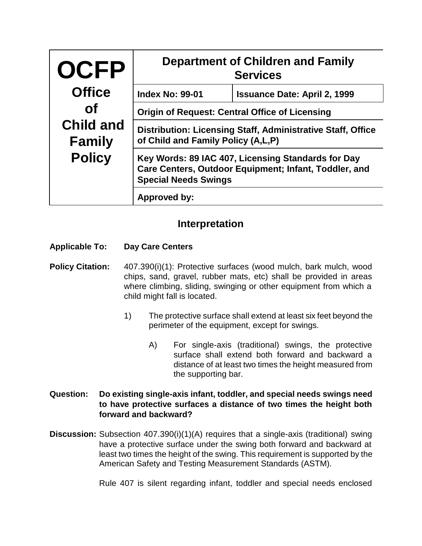| <b>OCFP</b>                       | <b>Department of Children and Family</b><br><b>Services</b>                                                                                |                                     |  |
|-----------------------------------|--------------------------------------------------------------------------------------------------------------------------------------------|-------------------------------------|--|
| <b>Office</b>                     | <b>Index No: 99-01</b>                                                                                                                     | <b>Issuance Date: April 2, 1999</b> |  |
| <b>of</b>                         | <b>Origin of Request: Central Office of Licensing</b>                                                                                      |                                     |  |
| <b>Child and</b><br><b>Family</b> | Distribution: Licensing Staff, Administrative Staff, Office<br>of Child and Family Policy (A,L,P)                                          |                                     |  |
| <b>Policy</b>                     | Key Words: 89 IAC 407, Licensing Standards for Day<br>Care Centers, Outdoor Equipment; Infant, Toddler, and<br><b>Special Needs Swings</b> |                                     |  |
|                                   | <b>Approved by:</b>                                                                                                                        |                                     |  |

## **Interpretation**

## **Applicable To: Day Care Centers**

**Policy Citation:** 407.390(i)(1): Protective surfaces (wood mulch, bark mulch, wood chips, sand, gravel, rubber mats, etc) shall be provided in areas where climbing, sliding, swinging or other equipment from which a child might fall is located.

- 1) The protective surface shall extend at least six feet beyond the perimeter of the equipment, except for swings.
	- A) For single-axis (traditional) swings, the protective surface shall extend both forward and backward a distance of at least two times the height measured from the supporting bar.
- **Question: Do existing single-axis infant, toddler, and special needs swings need to have protective surfaces a distance of two times the height both forward and backward?**
- **Discussion:** Subsection 407.390(i)(1)(A) requires that a single-axis (traditional) swing have a protective surface under the swing both forward and backward at least two times the height of the swing. This requirement is supported by the American Safety and Testing Measurement Standards (ASTM).

Rule 407 is silent regarding infant, toddler and special needs enclosed